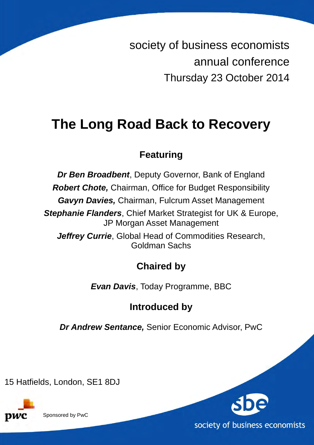society of business economists annual conference Thursday 23 October 2014

# **The Long Road Back to Recovery**

## **Featuring**

**Dr Ben Broadbent**, Deputy Governor, Bank of England

**Robert Chote,** Chairman, Office for Budget Responsibility

**Gavyn Davies,** Chairman, Fulcrum Asset Management

**Stephanie Flanders**, Chief Market Strategist for UK & Europe, JP Morgan Asset Management

**Jeffrey Currie**, Global Head of Commodities Research, Goldman Sachs

# **Chaired by**

**Evan Davis**, Today Programme, BBC

# **Introduced by**

**Dr Andrew Sentance,** Senior Economic Advisor, PwC

15 Hatfields, London, SE1 8DJ



Sponsored by PwC

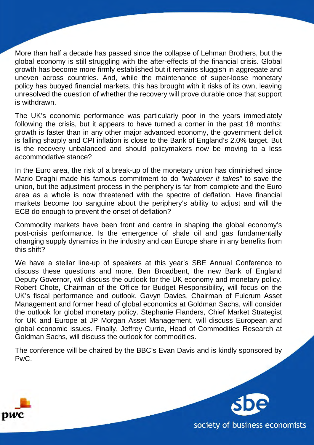More than half a decade has passed since the collapse of Lehman Brothers, but the global economy is still struggling with the after-effects of the financial crisis. Global growth has become more firmly established but it remains sluggish in aggregate and uneven across countries. And, while the maintenance of super-loose monetary policy has buoyed financial markets, this has brought with it risks of its own, leaving unresolved the question of whether the recovery will prove durable once that support is withdrawn.

The UK's economic performance was particularly poor in the years immediately following the crisis, but it appears to have turned a corner in the past 18 months: growth is faster than in any other major advanced economy, the government deficit is falling sharply and CPI inflation is close to the Bank of England's 2.0% target. But is the recovery unbalanced and should policymakers now be moving to a less accommodative stance?

In the Euro area, the risk of a break-up of the monetary union has diminished since Mario Draghi made his famous commitment to do "whatever it takes" to save the union, but the adjustment process in the periphery is far from complete and the Euro area as a whole is now threatened with the spectre of deflation. Have financial markets become too sanguine about the periphery's ability to adjust and will the ECB do enough to prevent the onset of deflation?

Commodity markets have been front and centre in shaping the global economy's post-crisis performance. Is the emergence of shale oil and gas fundamentally changing supply dynamics in the industry and can Europe share in any benefits from this shift?

We have a stellar line-up of speakers at this year's SBE Annual Conference to discuss these questions and more. Ben Broadbent, the new Bank of England Deputy Governor, will discuss the outlook for the UK economy and monetary policy. Robert Chote, Chairman of the Office for Budget Responsibility, will focus on the UK's fiscal performance and outlook. Gavyn Davies, Chairman of Fulcrum Asset Management and former head of global economics at Goldman Sachs, will consider the outlook for global monetary policy. Stephanie Flanders, Chief Market Strategist for UK and Europe at JP Morgan Asset Management, will discuss European and global economic issues. Finally, Jeffrey Currie, Head of Commodities Research at Goldman Sachs, will discuss the outlook for commodities.

The conference will be chaired by the BBC's Evan Davis and is kindly sponsored by PwC.



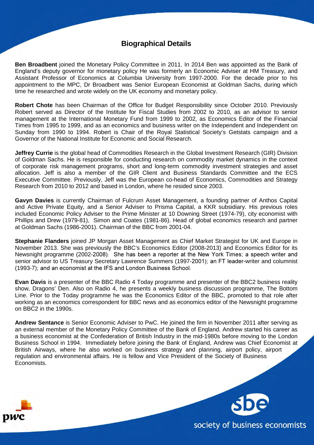### **Biographical Details**

**Ben Broadbent** joined the Monetary Policy Committee in 2011. In 2014 Ben was appointed as the Bank of England's deputy governor for monetary policy He was formerly an Economic Adviser at HM Treasury, and Assistant Professor of Economics at Columbia University from 1997-2000. For the decade prior to his appointment to the MPC, Dr Broadbent was Senior European Economist at Goldman Sachs, during which time he researched and wrote widely on the UK economy and monetary policy.

**Robert Chote** has been Chairman of the Office for Budget Responsibility since October 2010. Previously Robert served as Director of the Institute for Fiscal Studies from 2002 to 2010, as an advisor to senior management at the International Monetary Fund from 1999 to 2002, as Economics Editor of the Financial Times from 1995 to 1999, and as an economics and business writer on the Independent and Independent on Sunday from 1990 to 1994. Robert is Chair of the Royal Statistical Society's Getstats campaign and a Governor of the National Institute for Economic and Social Research.

**Jeffrey Currie** is the global head of Commodities Research in the Global Investment Research (GIR) Division of Goldman Sachs. He is responsible for conducting research on commodity market dynamics in the context of corporate risk management programs, short and long-term commodity investment strategies and asset allocation. Jeff is also a member of the GIR Client and Business Standards Committee and the ECS Executive Committee. Previously, Jeff was the European co-head of Economics, Commodities and Strategy Research from 2010 to 2012 and based in London, where he resided since 2003.

**Gavyn Davies** is currently Chairman of Fulcrum Asset Management, a founding partner of Anthos Capital and Active Private Equity, and a Senior Adviser to Prisma Capital, a KKR subsidiary. His previous roles included Economic Policy Adviser to the Prime Minister at 10 Downing Street (1974-79), city economist with Phillips and Drew (1979-81), Simon and Coates (1981-86). Head of global economics research and partner at Goldman Sachs (1986-2001). Chairman of the BBC from 2001-04.

**Stephanie Flanders** joined JP Morgan Asset Management as Chief Market Strategist for UK and Europe in November 2013. She was previously the BBC's Economics Editor (2008-2013) and Economics Editor for its Newsnight programme (2002-2008). She has been a reporter at the New York Times; a speech writer and senior advisor to US Treasury Secretary Lawrence Summers (1997-2001); an FT leader-writer and columnist (1993-7); and an economist at the IFS and London Business School.

**Evan Davis** is a presenter of the BBC Radio 4 Today programme and presenter of the BBC2 business reality show, Dragons' Den. Also on Radio 4, he presents a weekly business discussion programme, The Bottom Line. Prior to the Today programme he was the Economics Editor of the BBC, promoted to that role after working as an economics correspondent for BBC news and as economics editor of the Newsnight programme on BBC2 in the 1990s.

**Andrew Sentance** is Senior Economic Adviser to PwC. He joined the firm in November 2011 after serving as an external member of the Monetary Policy Committee of the Bank of England. Andrew started his career as a business economist at the Confederation of British Industry in the mid-1980s before moving to the London Business School in 1994. Immediately before joining the Bank of England, Andrew was Chief Economist at British Airways, where he also worked on business strategy and planning, airport policy, airport regulation and environmental affairs. He is fellow and Vice President of the Society of Business Economists.



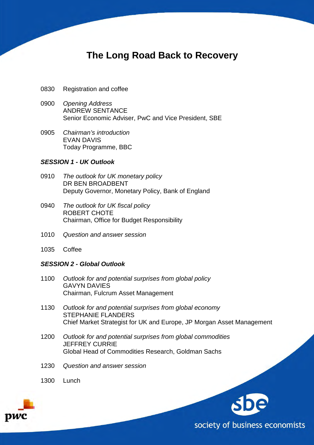## **The Long Road Back to Recovery**

- 0830 Registration and coffee
- 0900 Opening Address ANDREW SENTANCE Senior Economic Adviser, PwC and Vice President, SBE
- 0905 Chairman's introduction EVAN DAVIS Today Programme, BBC

#### **SESSION 1 - UK Outlook**

- 0910 The outlook for UK monetary policy DR BEN BROADBENT Deputy Governor, Monetary Policy, Bank of England
- 0940 The outlook for UK fiscal policy ROBERT CHOTE Chairman, Office for Budget Responsibility
- 1010 Question and answer session
- 1035 Coffee

#### **SESSION 2 - Global Outlook**

- 1100 Outlook for and potential surprises from global policy GAVYN DAVIES Chairman, Fulcrum Asset Management
- 1130 Outlook for and potential surprises from global economy STEPHANIE FLANDERS Chief Market Strategist for UK and Europe, JP Morgan Asset Management
- 1200 Outlook for and potential surprises from global commodities JEFFREY CURRIE Global Head of Commodities Research, Goldman Sachs
- 1230 Question and answer session
- 1300 Lunch